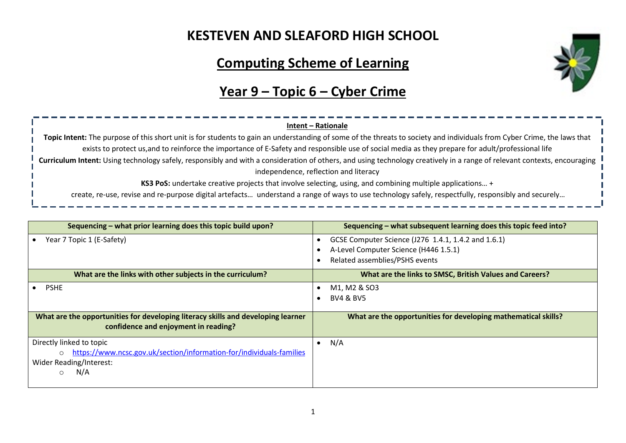## **KESTEVEN AND SLEAFORD HIGH SCHOOL**

# **Computing Scheme of Learning**



# **Year 9 – Topic 6 – Cyber Crime**

| Intent – Rationale                                                                                                                                                       |
|--------------------------------------------------------------------------------------------------------------------------------------------------------------------------|
| Topic Intent: The purpose of this short unit is for students to gain an understanding of some of the threats to society and individuals from Cyber Crime, the laws that  |
| exists to protect us, and to reinforce the importance of E-Safety and responsible use of social media as they prepare for adult/professional life                        |
| Curriculum Intent: Using technology safely, responsibly and with a consideration of others, and using technology creatively in a range of relevant contexts, encouraging |
| independence, reflection and literacy                                                                                                                                    |
| KS3 PoS: undertake creative projects that involve selecting, using, and combining multiple applications +                                                                |
| create, re-use, revise and re-purpose digital artefacts understand a range of ways to use technology safely, respectfully, responsibly and securely                      |

| Sequencing – what prior learning does this topic build upon?                                                             | Sequencing – what subsequent learning does this topic feed into? |  |  |
|--------------------------------------------------------------------------------------------------------------------------|------------------------------------------------------------------|--|--|
| Year 7 Topic 1 (E-Safety)                                                                                                | GCSE Computer Science (J276 1.4.1, 1.4.2 and 1.6.1)              |  |  |
|                                                                                                                          | A-Level Computer Science (H446 1.5.1)                            |  |  |
|                                                                                                                          | Related assemblies/PSHS events                                   |  |  |
| What are the links with other subjects in the curriculum?                                                                | What are the links to SMSC, British Values and Careers?          |  |  |
| <b>PSHE</b>                                                                                                              | M1, M2 & SO3                                                     |  |  |
|                                                                                                                          | <b>BV4 &amp; BV5</b>                                             |  |  |
|                                                                                                                          |                                                                  |  |  |
| What are the opportunities for developing literacy skills and developing learner<br>confidence and enjoyment in reading? | What are the opportunities for developing mathematical skills?   |  |  |
| Directly linked to topic                                                                                                 | N/A<br>$\bullet$                                                 |  |  |
| https://www.ncsc.gov.uk/section/information-for/individuals-families<br>$\circ$                                          |                                                                  |  |  |
| Wider Reading/Interest:                                                                                                  |                                                                  |  |  |
| N/A<br>$\circ$                                                                                                           |                                                                  |  |  |
|                                                                                                                          |                                                                  |  |  |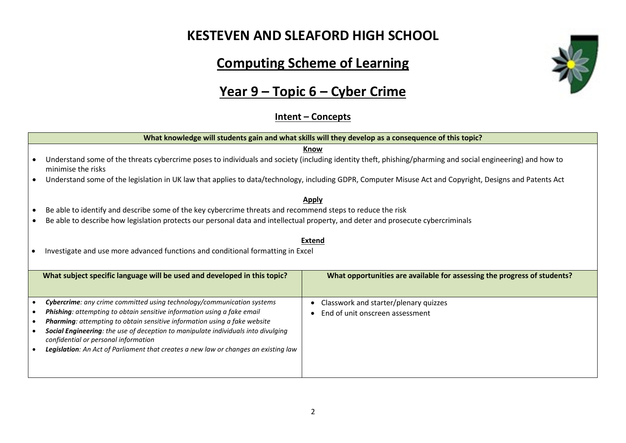#### **KESTEVEN AND SLEAFORD HIGH SCHOOL**

# **Computing Scheme of Learning**

# **Year 9 – Topic 6 – Cyber Crime**

#### **Intent – Concepts**